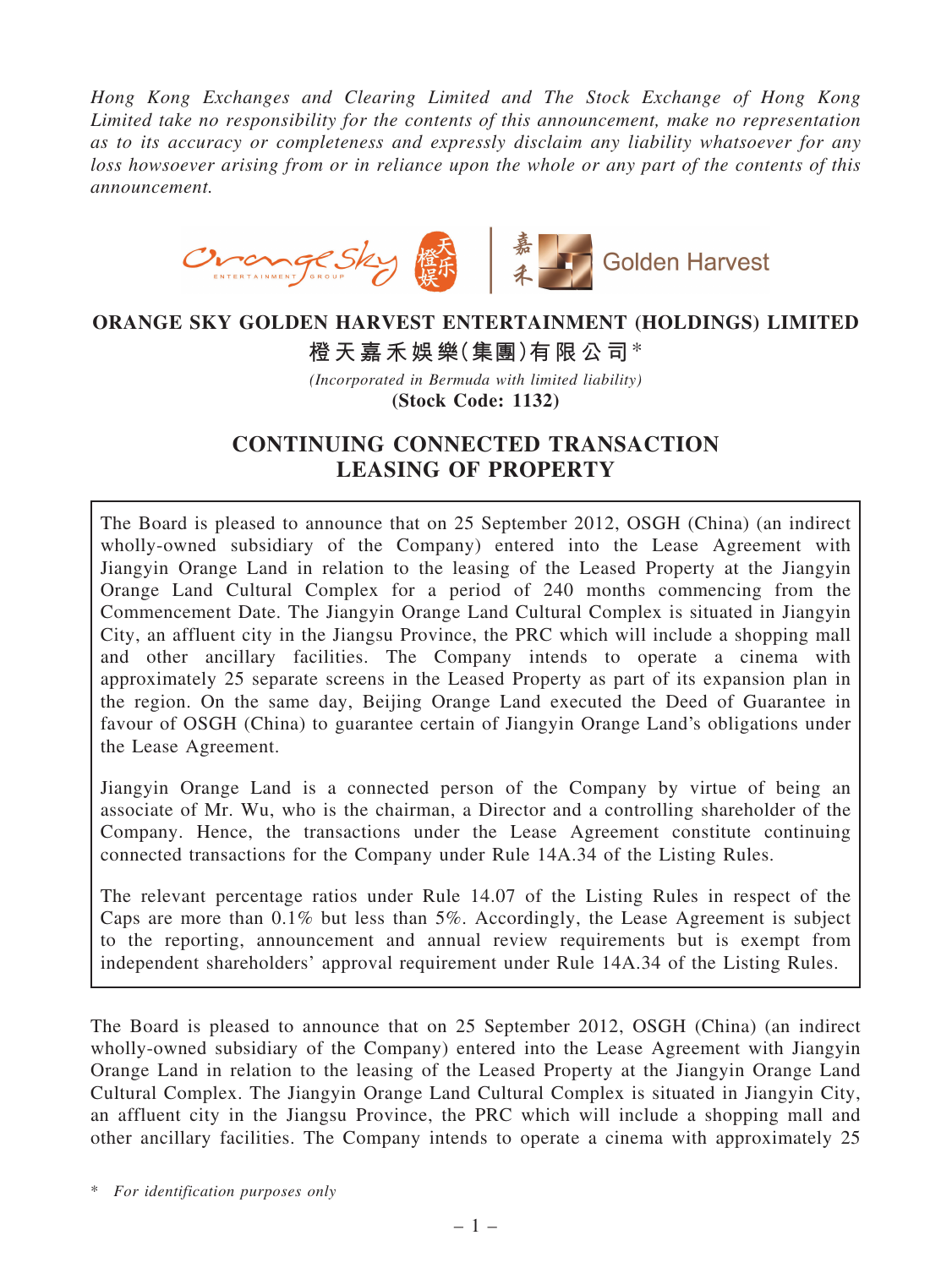*Hong Kong Exchanges and Clearing Limited and The Stock Exchange of Hong Kong Limited take no responsibility for the contents of this announcement, make no representation as to its accuracy or completeness and expressly disclaim any liability whatsoever for any loss howsoever arising from or in reliance upon the whole or any part of the contents of this announcement.*



# ORANGE SKY GOLDEN HARVEST ENTERTAINMENT (HOLDINGS) LIMITED

橙天嘉禾娛樂(集團)有限公司\*

*(Incorporated in Bermuda with limited liability)* (Stock Code: 1132)

## CONTINUING CONNECTED TRANSACTION LEASING OF PROPERTY

The Board is pleased to announce that on 25 September 2012, OSGH (China) (an indirect wholly-owned subsidiary of the Company) entered into the Lease Agreement with Jiangyin Orange Land in relation to the leasing of the Leased Property at the Jiangyin Orange Land Cultural Complex for a period of 240 months commencing from the Commencement Date. The Jiangyin Orange Land Cultural Complex is situated in Jiangyin City, an affluent city in the Jiangsu Province, the PRC which will include a shopping mall and other ancillary facilities. The Company intends to operate a cinema with approximately 25 separate screens in the Leased Property as part of its expansion plan in the region. On the same day, Beijing Orange Land executed the Deed of Guarantee in favour of OSGH (China) to guarantee certain of Jiangyin Orange Land's obligations under the Lease Agreement.

Jiangyin Orange Land is a connected person of the Company by virtue of being an associate of Mr. Wu, who is the chairman, a Director and a controlling shareholder of the Company. Hence, the transactions under the Lease Agreement constitute continuing connected transactions for the Company under Rule 14A.34 of the Listing Rules.

The relevant percentage ratios under Rule 14.07 of the Listing Rules in respect of the Caps are more than 0.1% but less than 5%. Accordingly, the Lease Agreement is subject to the reporting, announcement and annual review requirements but is exempt from independent shareholders' approval requirement under Rule 14A.34 of the Listing Rules.

The Board is pleased to announce that on 25 September 2012, OSGH (China) (an indirect wholly-owned subsidiary of the Company) entered into the Lease Agreement with Jiangyin Orange Land in relation to the leasing of the Leased Property at the Jiangyin Orange Land Cultural Complex. The Jiangyin Orange Land Cultural Complex is situated in Jiangyin City, an affluent city in the Jiangsu Province, the PRC which will include a shopping mall and other ancillary facilities. The Company intends to operate a cinema with approximately 25

\* *For identification purposes only*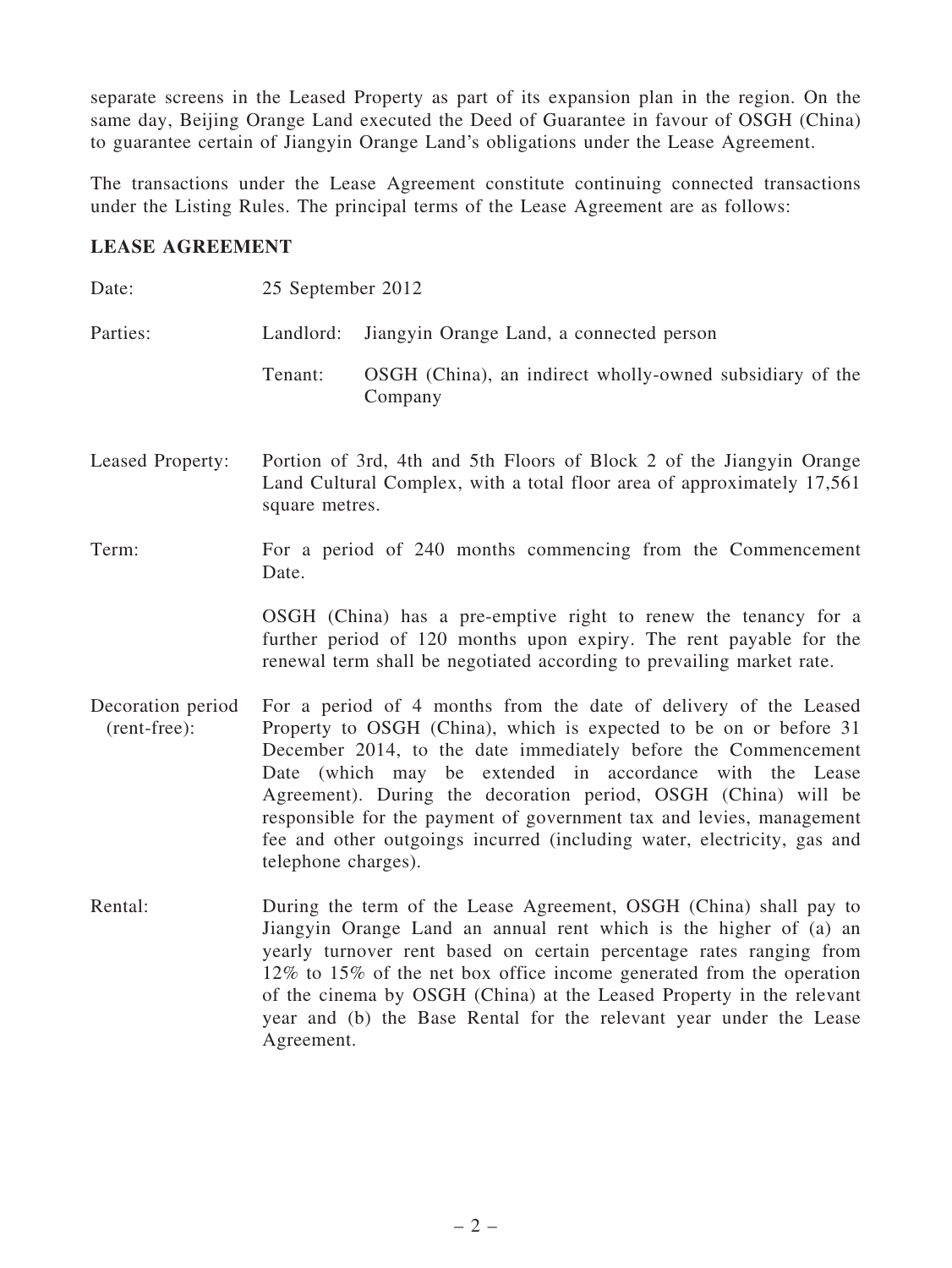separate screens in the Leased Property as part of its expansion plan in the region. On the same day, Beijing Orange Land executed the Deed of Guarantee in favour of OSGH (China) to guarantee certain of Jiangyin Orange Land's obligations under the Lease Agreement.

The transactions under the Lease Agreement constitute continuing connected transactions under the Listing Rules. The principal terms of the Lease Agreement are as follows:

## LEASE AGREEMENT

| Date:                             | 25 September 2012                                                                                                                                                                                                                                                                                                                                                                                                                                                                                               |                                                                     |  |
|-----------------------------------|-----------------------------------------------------------------------------------------------------------------------------------------------------------------------------------------------------------------------------------------------------------------------------------------------------------------------------------------------------------------------------------------------------------------------------------------------------------------------------------------------------------------|---------------------------------------------------------------------|--|
| Parties:                          | Landlord:                                                                                                                                                                                                                                                                                                                                                                                                                                                                                                       | Jiangyin Orange Land, a connected person                            |  |
|                                   | Tenant:                                                                                                                                                                                                                                                                                                                                                                                                                                                                                                         | OSGH (China), an indirect wholly-owned subsidiary of the<br>Company |  |
| Leased Property:                  | Portion of 3rd, 4th and 5th Floors of Block 2 of the Jiangyin Orange<br>Land Cultural Complex, with a total floor area of approximately 17,561<br>square metres.                                                                                                                                                                                                                                                                                                                                                |                                                                     |  |
| Term:                             | For a period of 240 months commencing from the Commencement<br>Date.                                                                                                                                                                                                                                                                                                                                                                                                                                            |                                                                     |  |
|                                   | OSGH (China) has a pre-emptive right to renew the tenancy for a<br>further period of 120 months upon expiry. The rent payable for the<br>renewal term shall be negotiated according to prevailing market rate.                                                                                                                                                                                                                                                                                                  |                                                                     |  |
| Decoration period<br>(rent-free): | For a period of 4 months from the date of delivery of the Leased<br>Property to OSGH (China), which is expected to be on or before 31<br>December 2014, to the date immediately before the Commencement<br>Date (which may be extended in accordance with the Lease<br>Agreement). During the decoration period, OSGH (China) will be<br>responsible for the payment of government tax and levies, management<br>fee and other outgoings incurred (including water, electricity, gas and<br>telephone charges). |                                                                     |  |
| Rental:                           | During the term of the Lease Agreement, OSGH (China) shall pay to<br>Jiangyin Orange Land an annual rent which is the higher of (a) an<br>yearly turnover rent based on certain percentage rates ranging from<br>12% to 15% of the net box office income generated from the operation<br>of the cinema by OSGH (China) at the Leased Property in the relevant<br>year and (b) the Base Rental for the relevant year under the Lease<br>Agreement.                                                               |                                                                     |  |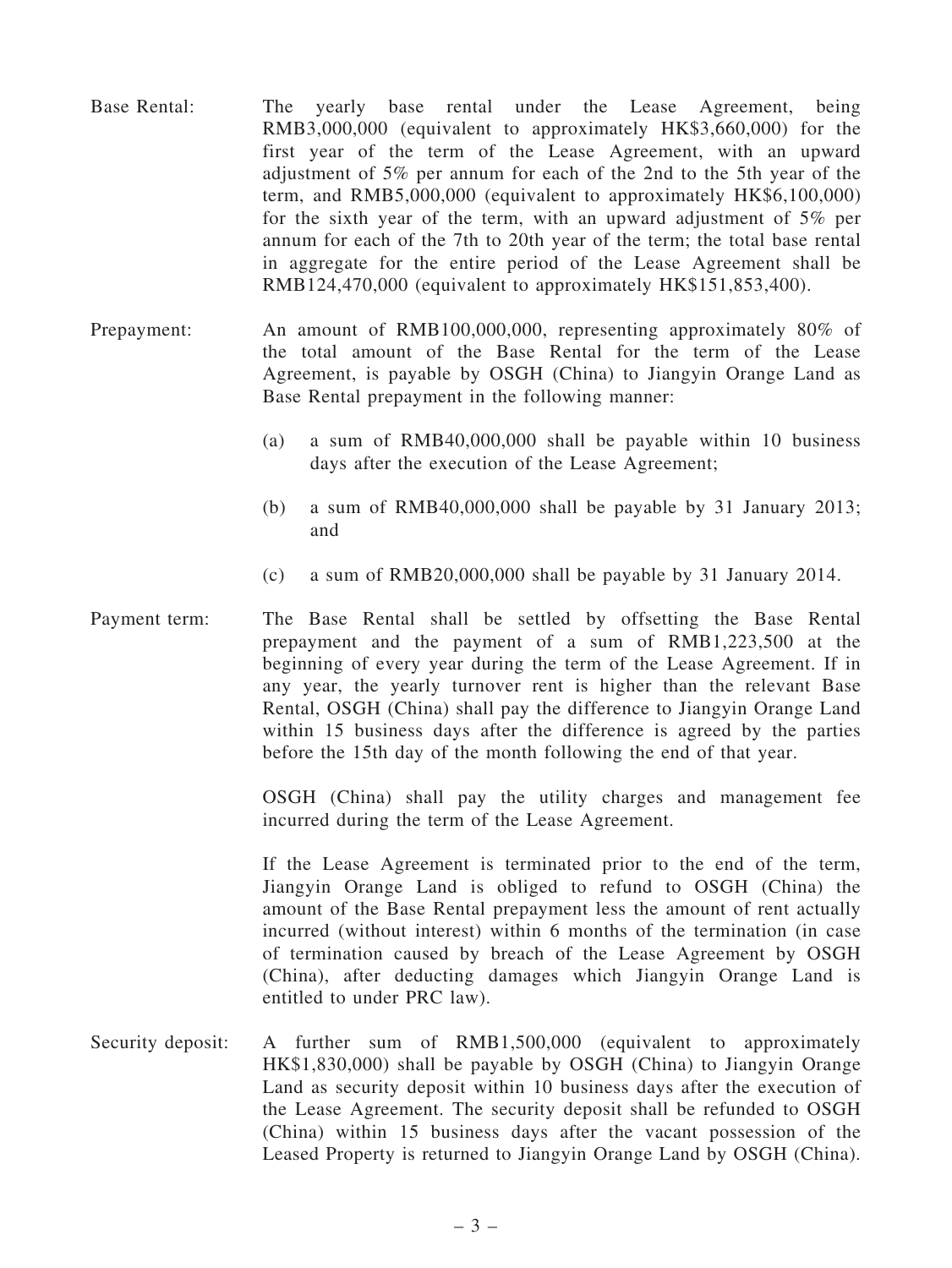- Base Rental: The yearly base rental under the Lease Agreement, being RMB3,000,000 (equivalent to approximately HK\$3,660,000) for the first year of the term of the Lease Agreement, with an upward adjustment of 5% per annum for each of the 2nd to the 5th year of the term, and RMB5,000,000 (equivalent to approximately HK\$6,100,000) for the sixth year of the term, with an upward adjustment of 5% per annum for each of the 7th to 20th year of the term; the total base rental in aggregate for the entire period of the Lease Agreement shall be RMB124,470,000 (equivalent to approximately HK\$151,853,400).
- Prepayment: An amount of RMB100,000,000, representing approximately 80% of the total amount of the Base Rental for the term of the Lease Agreement, is payable by OSGH (China) to Jiangyin Orange Land as Base Rental prepayment in the following manner:
	- (a) a sum of RMB40,000,000 shall be payable within 10 business days after the execution of the Lease Agreement;
	- (b) a sum of RMB40,000,000 shall be payable by 31 January 2013; and
	- (c) a sum of RMB20,000,000 shall be payable by 31 January 2014.
- Payment term: The Base Rental shall be settled by offsetting the Base Rental prepayment and the payment of a sum of RMB1,223,500 at the beginning of every year during the term of the Lease Agreement. If in any year, the yearly turnover rent is higher than the relevant Base Rental, OSGH (China) shall pay the difference to Jiangyin Orange Land within 15 business days after the difference is agreed by the parties before the 15th day of the month following the end of that year.

OSGH (China) shall pay the utility charges and management fee incurred during the term of the Lease Agreement.

If the Lease Agreement is terminated prior to the end of the term, Jiangyin Orange Land is obliged to refund to OSGH (China) the amount of the Base Rental prepayment less the amount of rent actually incurred (without interest) within 6 months of the termination (in case of termination caused by breach of the Lease Agreement by OSGH (China), after deducting damages which Jiangyin Orange Land is entitled to under PRC law).

Security deposit: A further sum of RMB1,500,000 (equivalent to approximately HK\$1,830,000) shall be payable by OSGH (China) to Jiangyin Orange Land as security deposit within 10 business days after the execution of the Lease Agreement. The security deposit shall be refunded to OSGH (China) within 15 business days after the vacant possession of the Leased Property is returned to Jiangyin Orange Land by OSGH (China).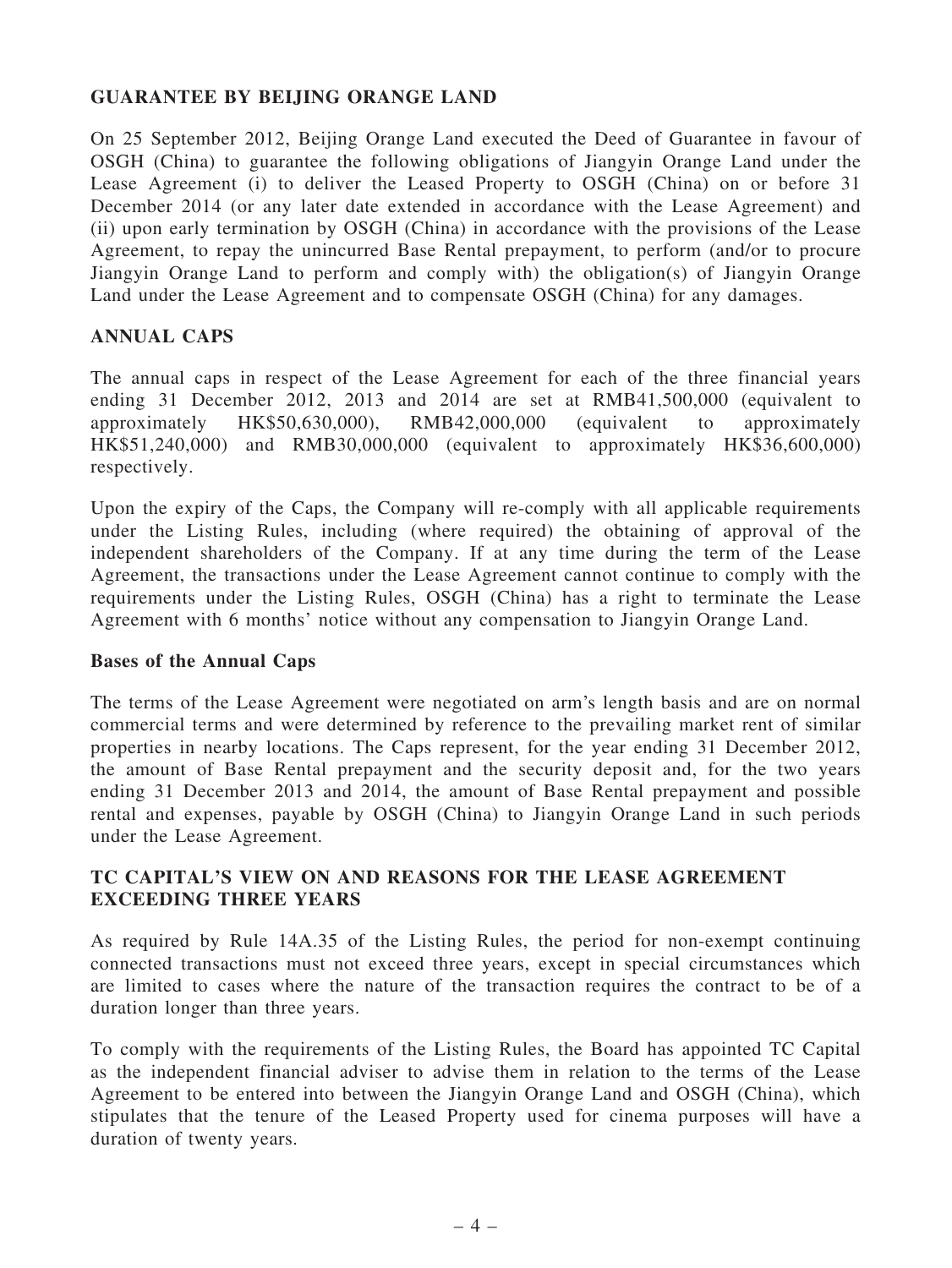## GUARANTEE BY BEIJING ORANGE LAND

On 25 September 2012, Beijing Orange Land executed the Deed of Guarantee in favour of OSGH (China) to guarantee the following obligations of Jiangyin Orange Land under the Lease Agreement (i) to deliver the Leased Property to OSGH (China) on or before 31 December 2014 (or any later date extended in accordance with the Lease Agreement) and (ii) upon early termination by OSGH (China) in accordance with the provisions of the Lease Agreement, to repay the unincurred Base Rental prepayment, to perform (and/or to procure Jiangyin Orange Land to perform and comply with) the obligation(s) of Jiangyin Orange Land under the Lease Agreement and to compensate OSGH (China) for any damages.

## ANNUAL CAPS

The annual caps in respect of the Lease Agreement for each of the three financial years ending 31 December 2012, 2013 and 2014 are set at RMB41,500,000 (equivalent to approximately HK\$50,630,000), RMB42,000,000 (equivalent to approximately HK\$51,240,000) and RMB30,000,000 (equivalent to approximately HK\$36,600,000) respectively.

Upon the expiry of the Caps, the Company will re-comply with all applicable requirements under the Listing Rules, including (where required) the obtaining of approval of the independent shareholders of the Company. If at any time during the term of the Lease Agreement, the transactions under the Lease Agreement cannot continue to comply with the requirements under the Listing Rules, OSGH (China) has a right to terminate the Lease Agreement with 6 months' notice without any compensation to Jiangyin Orange Land.

#### Bases of the Annual Caps

The terms of the Lease Agreement were negotiated on arm's length basis and are on normal commercial terms and were determined by reference to the prevailing market rent of similar properties in nearby locations. The Caps represent, for the year ending 31 December 2012, the amount of Base Rental prepayment and the security deposit and, for the two years ending 31 December 2013 and 2014, the amount of Base Rental prepayment and possible rental and expenses, payable by OSGH (China) to Jiangyin Orange Land in such periods under the Lease Agreement.

## TC CAPITAL'S VIEW ON AND REASONS FOR THE LEASE AGREEMENT EXCEEDING THREE YEARS

As required by Rule 14A.35 of the Listing Rules, the period for non-exempt continuing connected transactions must not exceed three years, except in special circumstances which are limited to cases where the nature of the transaction requires the contract to be of a duration longer than three years.

To comply with the requirements of the Listing Rules, the Board has appointed TC Capital as the independent financial adviser to advise them in relation to the terms of the Lease Agreement to be entered into between the Jiangyin Orange Land and OSGH (China), which stipulates that the tenure of the Leased Property used for cinema purposes will have a duration of twenty years.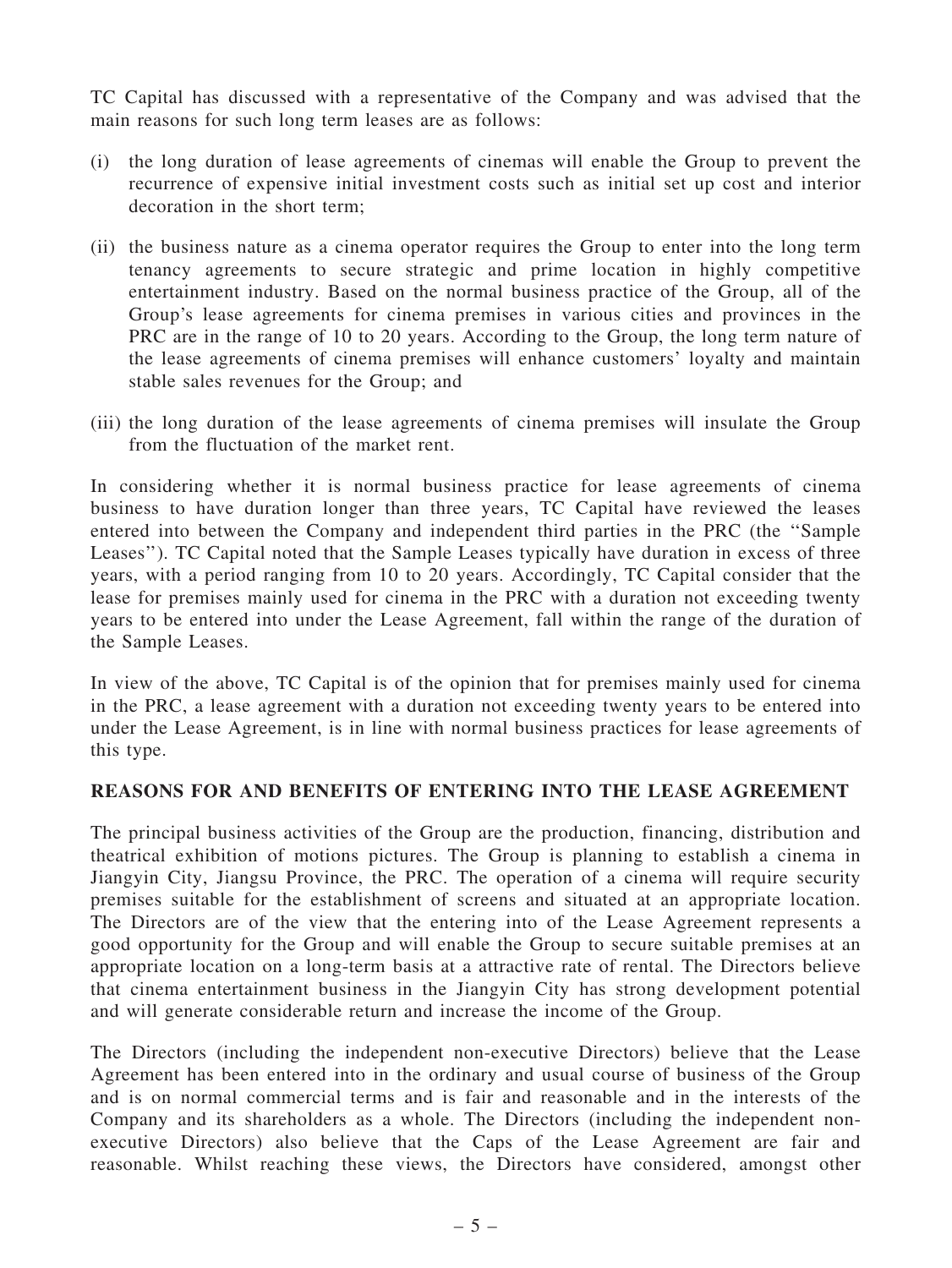TC Capital has discussed with a representative of the Company and was advised that the main reasons for such long term leases are as follows:

- (i) the long duration of lease agreements of cinemas will enable the Group to prevent the recurrence of expensive initial investment costs such as initial set up cost and interior decoration in the short term;
- (ii) the business nature as a cinema operator requires the Group to enter into the long term tenancy agreements to secure strategic and prime location in highly competitive entertainment industry. Based on the normal business practice of the Group, all of the Group's lease agreements for cinema premises in various cities and provinces in the PRC are in the range of 10 to 20 years. According to the Group, the long term nature of the lease agreements of cinema premises will enhance customers' loyalty and maintain stable sales revenues for the Group; and
- (iii) the long duration of the lease agreements of cinema premises will insulate the Group from the fluctuation of the market rent.

In considering whether it is normal business practice for lease agreements of cinema business to have duration longer than three years, TC Capital have reviewed the leases entered into between the Company and independent third parties in the PRC (the ''Sample Leases''). TC Capital noted that the Sample Leases typically have duration in excess of three years, with a period ranging from 10 to 20 years. Accordingly, TC Capital consider that the lease for premises mainly used for cinema in the PRC with a duration not exceeding twenty years to be entered into under the Lease Agreement, fall within the range of the duration of the Sample Leases.

In view of the above, TC Capital is of the opinion that for premises mainly used for cinema in the PRC, a lease agreement with a duration not exceeding twenty years to be entered into under the Lease Agreement, is in line with normal business practices for lease agreements of this type.

#### REASONS FOR AND BENEFITS OF ENTERING INTO THE LEASE AGREEMENT

The principal business activities of the Group are the production, financing, distribution and theatrical exhibition of motions pictures. The Group is planning to establish a cinema in Jiangyin City, Jiangsu Province, the PRC. The operation of a cinema will require security premises suitable for the establishment of screens and situated at an appropriate location. The Directors are of the view that the entering into of the Lease Agreement represents a good opportunity for the Group and will enable the Group to secure suitable premises at an appropriate location on a long-term basis at a attractive rate of rental. The Directors believe that cinema entertainment business in the Jiangyin City has strong development potential and will generate considerable return and increase the income of the Group.

The Directors (including the independent non-executive Directors) believe that the Lease Agreement has been entered into in the ordinary and usual course of business of the Group and is on normal commercial terms and is fair and reasonable and in the interests of the Company and its shareholders as a whole. The Directors (including the independent nonexecutive Directors) also believe that the Caps of the Lease Agreement are fair and reasonable. Whilst reaching these views, the Directors have considered, amongst other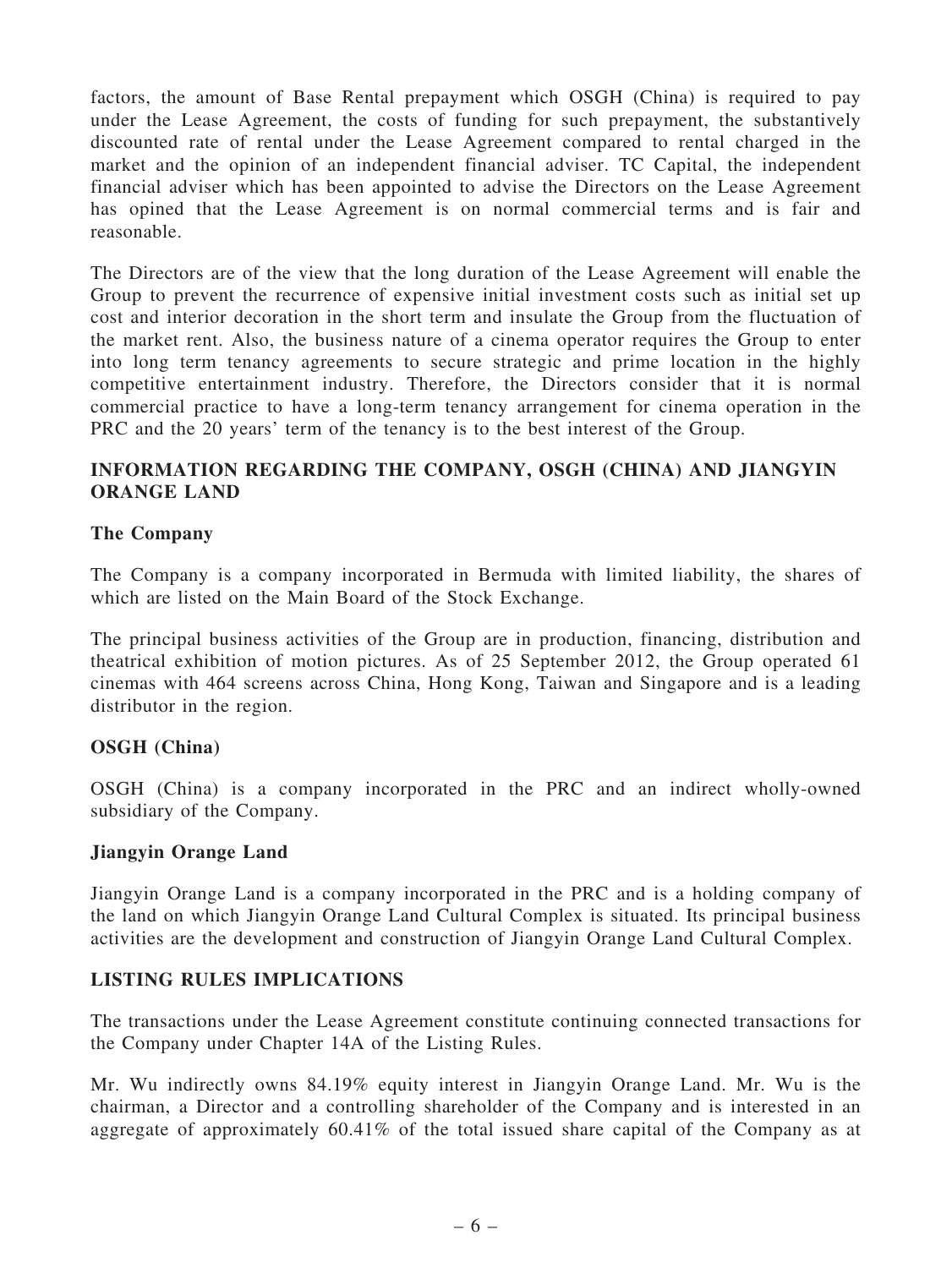factors, the amount of Base Rental prepayment which OSGH (China) is required to pay under the Lease Agreement, the costs of funding for such prepayment, the substantively discounted rate of rental under the Lease Agreement compared to rental charged in the market and the opinion of an independent financial adviser. TC Capital, the independent financial adviser which has been appointed to advise the Directors on the Lease Agreement has opined that the Lease Agreement is on normal commercial terms and is fair and reasonable.

The Directors are of the view that the long duration of the Lease Agreement will enable the Group to prevent the recurrence of expensive initial investment costs such as initial set up cost and interior decoration in the short term and insulate the Group from the fluctuation of the market rent. Also, the business nature of a cinema operator requires the Group to enter into long term tenancy agreements to secure strategic and prime location in the highly competitive entertainment industry. Therefore, the Directors consider that it is normal commercial practice to have a long-term tenancy arrangement for cinema operation in the PRC and the 20 years' term of the tenancy is to the best interest of the Group.

## INFORMATION REGARDING THE COMPANY, OSGH (CHINA) AND JIANGYIN ORANGE LAND

## The Company

The Company is a company incorporated in Bermuda with limited liability, the shares of which are listed on the Main Board of the Stock Exchange.

The principal business activities of the Group are in production, financing, distribution and theatrical exhibition of motion pictures. As of 25 September 2012, the Group operated 61 cinemas with 464 screens across China, Hong Kong, Taiwan and Singapore and is a leading distributor in the region.

#### OSGH (China)

OSGH (China) is a company incorporated in the PRC and an indirect wholly-owned subsidiary of the Company.

#### Jiangyin Orange Land

Jiangyin Orange Land is a company incorporated in the PRC and is a holding company of the land on which Jiangyin Orange Land Cultural Complex is situated. Its principal business activities are the development and construction of Jiangyin Orange Land Cultural Complex.

#### LISTING RULES IMPLICATIONS

The transactions under the Lease Agreement constitute continuing connected transactions for the Company under Chapter 14A of the Listing Rules.

Mr. Wu indirectly owns 84.19% equity interest in Jiangyin Orange Land. Mr. Wu is the chairman, a Director and a controlling shareholder of the Company and is interested in an aggregate of approximately 60.41% of the total issued share capital of the Company as at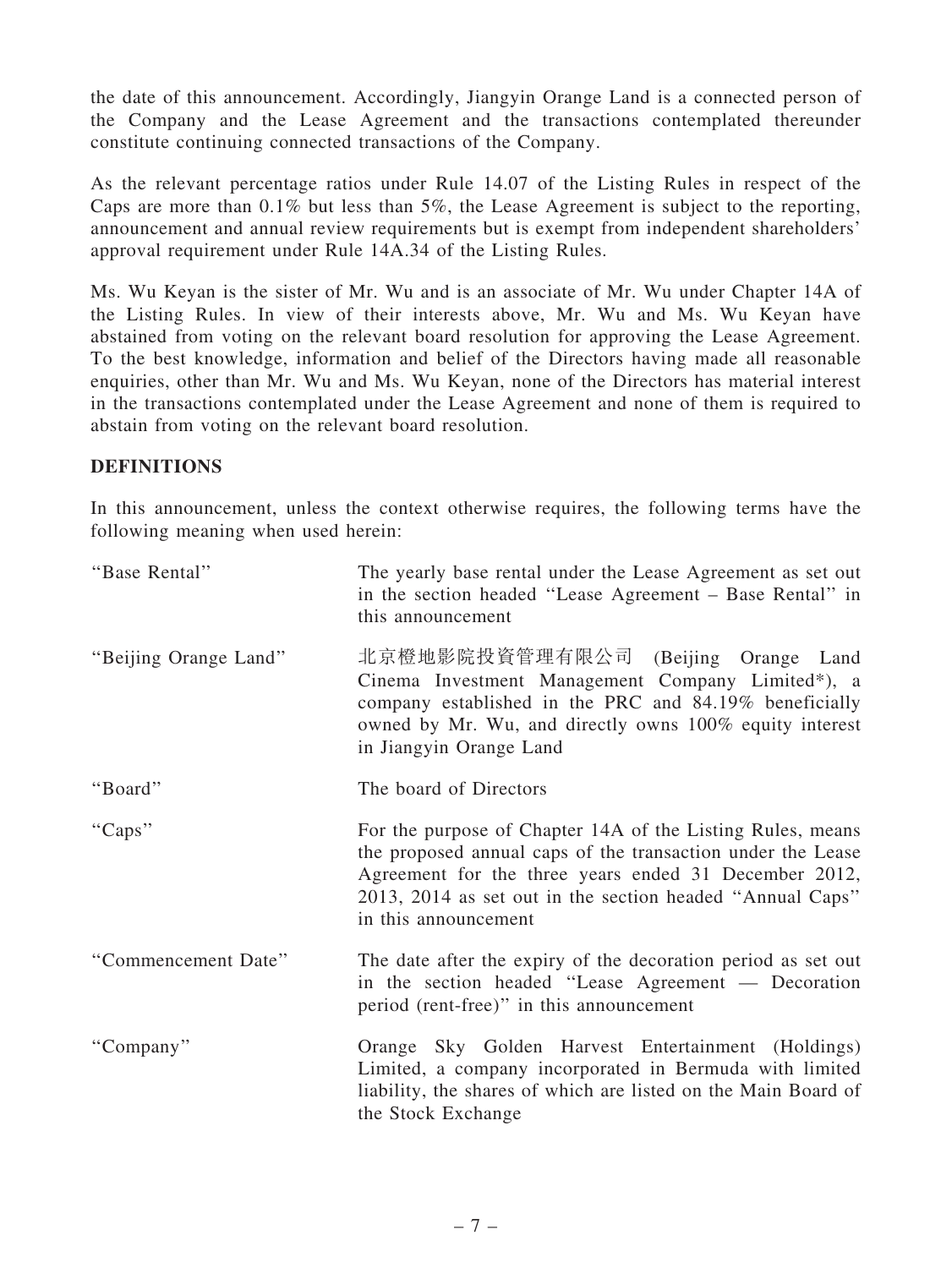the date of this announcement. Accordingly, Jiangyin Orange Land is a connected person of the Company and the Lease Agreement and the transactions contemplated thereunder constitute continuing connected transactions of the Company.

As the relevant percentage ratios under Rule 14.07 of the Listing Rules in respect of the Caps are more than 0.1% but less than 5%, the Lease Agreement is subject to the reporting, announcement and annual review requirements but is exempt from independent shareholders' approval requirement under Rule 14A.34 of the Listing Rules.

Ms. Wu Keyan is the sister of Mr. Wu and is an associate of Mr. Wu under Chapter 14A of the Listing Rules. In view of their interests above, Mr. Wu and Ms. Wu Keyan have abstained from voting on the relevant board resolution for approving the Lease Agreement. To the best knowledge, information and belief of the Directors having made all reasonable enquiries, other than Mr. Wu and Ms. Wu Keyan, none of the Directors has material interest in the transactions contemplated under the Lease Agreement and none of them is required to abstain from voting on the relevant board resolution.

## **DEFINITIONS**

In this announcement, unless the context otherwise requires, the following terms have the following meaning when used herein:

| "Base Rental"         | The yearly base rental under the Lease Agreement as set out<br>in the section headed "Lease Agreement – Base Rental" in<br>this announcement                                                                                                                            |
|-----------------------|-------------------------------------------------------------------------------------------------------------------------------------------------------------------------------------------------------------------------------------------------------------------------|
| "Beijing Orange Land" | 北京橙地影院投資管理有限公司 (Beijing Orange Land<br>Cinema Investment Management Company Limited*), a<br>company established in the PRC and 84.19% beneficially<br>owned by Mr. Wu, and directly owns 100% equity interest<br>in Jiangyin Orange Land                                |
| "Board"               | The board of Directors                                                                                                                                                                                                                                                  |
| "Caps"                | For the purpose of Chapter 14A of the Listing Rules, means<br>the proposed annual caps of the transaction under the Lease<br>Agreement for the three years ended 31 December 2012,<br>2013, 2014 as set out in the section headed "Annual Caps"<br>in this announcement |
| "Commencement Date"   | The date after the expiry of the decoration period as set out<br>in the section headed "Lease Agreement — Decoration<br>period (rent-free)" in this announcement                                                                                                        |
| "Company"             | Orange Sky Golden Harvest Entertainment (Holdings)<br>Limited, a company incorporated in Bermuda with limited<br>liability, the shares of which are listed on the Main Board of<br>the Stock Exchange                                                                   |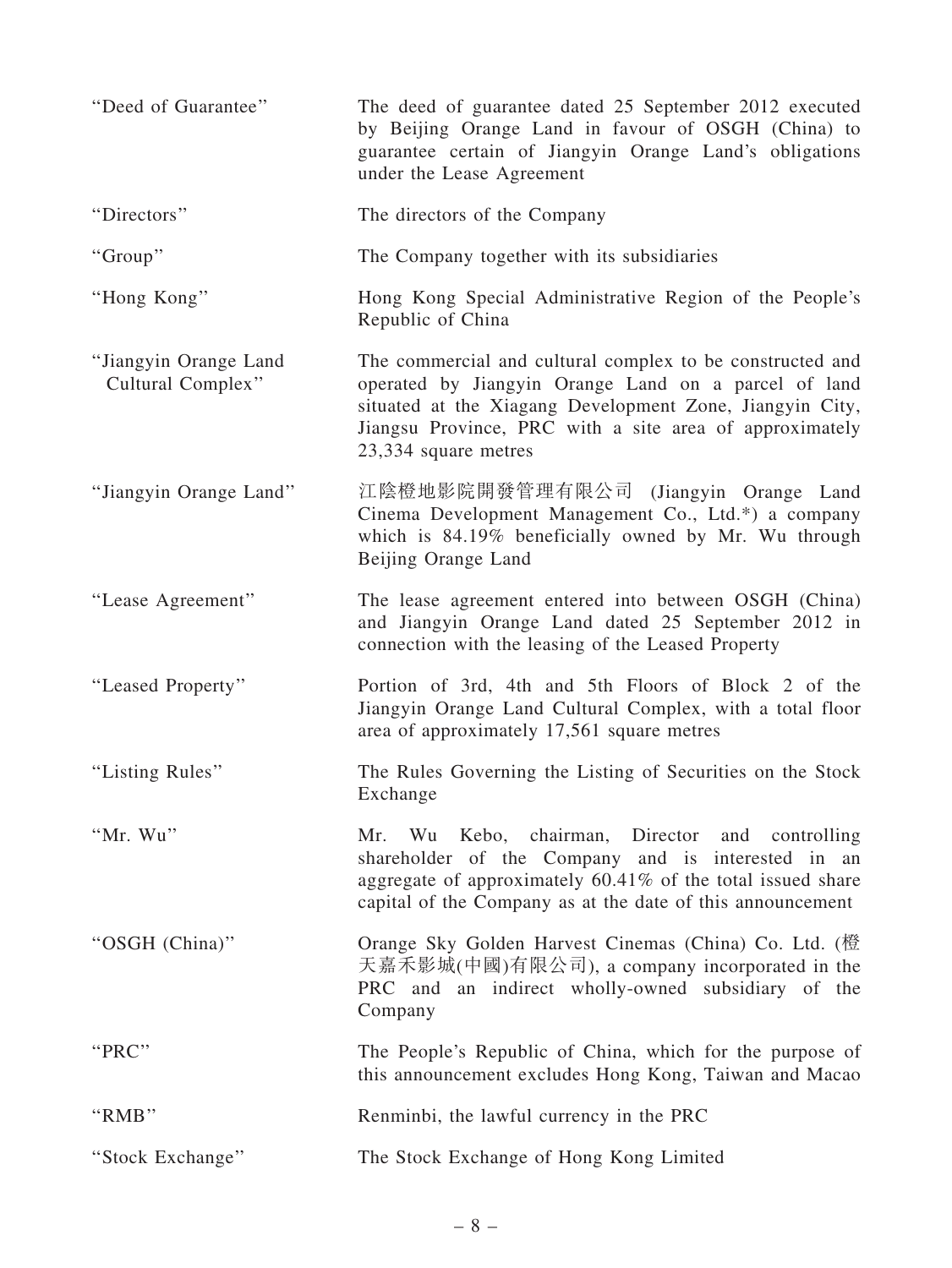| "Deed of Guarantee"                        | The deed of guarantee dated 25 September 2012 executed<br>by Beijing Orange Land in favour of OSGH (China) to<br>guarantee certain of Jiangyin Orange Land's obligations<br>under the Lease Agreement                                                            |
|--------------------------------------------|------------------------------------------------------------------------------------------------------------------------------------------------------------------------------------------------------------------------------------------------------------------|
| "Directors"                                | The directors of the Company                                                                                                                                                                                                                                     |
| "Group"                                    | The Company together with its subsidiaries                                                                                                                                                                                                                       |
| "Hong Kong"                                | Hong Kong Special Administrative Region of the People's<br>Republic of China                                                                                                                                                                                     |
| "Jiangyin Orange Land<br>Cultural Complex" | The commercial and cultural complex to be constructed and<br>operated by Jiangyin Orange Land on a parcel of land<br>situated at the Xiagang Development Zone, Jiangyin City,<br>Jiangsu Province, PRC with a site area of approximately<br>23,334 square metres |
| "Jiangyin Orange Land"                     | 江陰橙地影院開發管理有限公司 (Jiangyin Orange Land<br>Cinema Development Management Co., Ltd.*) a company<br>which is 84.19% beneficially owned by Mr. Wu through<br>Beijing Orange Land                                                                                       |
| "Lease Agreement"                          | The lease agreement entered into between OSGH (China)<br>and Jiangyin Orange Land dated 25 September 2012 in<br>connection with the leasing of the Leased Property                                                                                               |
| "Leased Property"                          | Portion of 3rd, 4th and 5th Floors of Block 2 of the<br>Jiangyin Orange Land Cultural Complex, with a total floor<br>area of approximately 17,561 square metres                                                                                                  |
| "Listing Rules"                            | The Rules Governing the Listing of Securities on the Stock<br>Exchange                                                                                                                                                                                           |
| "Mr. Wu"                                   | Mr. Wu Kebo, chairman, Director and controlling<br>shareholder of the Company and is interested in an<br>aggregate of approximately 60.41% of the total issued share<br>capital of the Company as at the date of this announcement                               |
| "OSGH (China)"                             | Orange Sky Golden Harvest Cinemas (China) Co. Ltd. (橙<br>天嘉禾影城(中國)有限公司), a company incorporated in the<br>PRC and an indirect wholly-owned subsidiary of the<br>Company                                                                                          |
| "PRC"                                      | The People's Republic of China, which for the purpose of<br>this announcement excludes Hong Kong, Taiwan and Macao                                                                                                                                               |
| "RMB"                                      | Renminbi, the lawful currency in the PRC                                                                                                                                                                                                                         |
| "Stock Exchange"                           | The Stock Exchange of Hong Kong Limited                                                                                                                                                                                                                          |